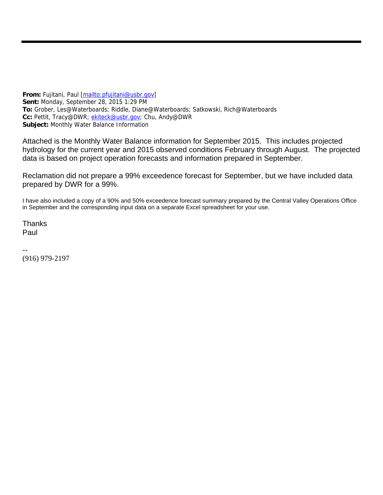**From:** Fujitani, Paul [mailto:pfujitani@usbr.gov] **Sent:** Monday, September 28, 2015 1:29 PM **To:** Grober, Les@Waterboards; Riddle, Diane@Waterboards; Satkowski, Rich@Waterboards **Cc:** Pettit, Tracy@DWR; ekiteck@usbr.gov; Chu, Andy@DWR **Subject:** Monthly Water Balance Information

Attached is the Monthly Water Balance information for September 2015. This includes projected hydrology for the current year and 2015 observed conditions February through August. The projected data is based on project operation forecasts and information prepared in September.

Reclamation did not prepare a 99% exceedence forecast for September, but we have included data prepared by DWR for a 99%.

I have also included a copy of a 90% and 50% exceedence forecast summary prepared by the Central Valley Operations Office in September and the corresponding input data on a separate Excel spreadsheet for your use.

**Thanks** Paul

-- (916) 979-2197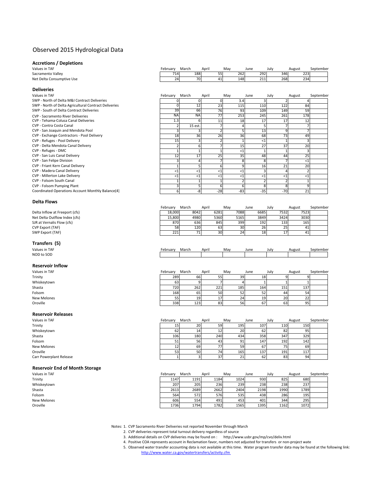# Observed 2015 Hydrological Data

# **Accretions / Depletions**

**Deliveries**

| Values in TAF             | -ebruarv | March |     | April | May | June | Julv | August | September |
|---------------------------|----------|-------|-----|-------|-----|------|------|--------|-----------|
| Sacramento Vallev         | 714      |       | 188 |       | 262 | 292  | 346  | 223    |           |
| Net Delta Consumptive Use | 24       |       | 70  |       | 148 | 211  | 268  | 234    |           |

| Values in TAF                                         | February  | March     | April | May   | June  | July  | August | September |
|-------------------------------------------------------|-----------|-----------|-------|-------|-------|-------|--------|-----------|
| SWP - North of Delta M&I Contract Deliveries          |           |           |       | 3.4   |       |       |        |           |
| SWP - North of Delta Agricultural Contract Deliveries |           | 12        | 23    | 115   | 110   | 122   | 84     |           |
| SWP - South of Delta Contract Deliveries              | 39        | 66        | 76    | 93    | 109   | 149   | 59     |           |
| <b>CVP - Sacramento River Deliveries</b>              | <b>NA</b> | <b>NA</b> | 77    | 253   | 245   | 261   | 178    |           |
| CVP - Tehama-Colusa Canal Deliveries                  | 1.3       |           | 11    | 18    | 17    | 17    | 12     |           |
| CVP - Contra Costa Canal                              |           | 15 est.   |       |       |       |       |        |           |
| CVP - San Joaquin and Mendota Pool                    |           |           |       |       | 13    |       |        |           |
| CVP - Exchange Contractors - Pool Delivery            | 18        | 36        | 26    | 36    | 68    | 73    | 49     |           |
| CVP - Refuges - Pool Delivery                         | 15        |           |       |       |       |       |        |           |
| CVP - Delta Mendota Canal Delivery                    |           |           |       | 15    | 27    | 37    | 20     |           |
| CVP - Refuges - DMC                                   |           |           |       | <1    |       |       |        |           |
| CVP - San Luis Canal Delivery                         | 12        | 17        | 25    | 35    | 48    | 44    | 25     |           |
| CVP - San Felipe Division                             |           |           |       |       |       |       | $<$ 1  |           |
| CVP - Friant Kern Canal Delivery                      |           |           |       |       | 16    | 21    | 20     |           |
| CVP - Madera Canal Delivery                           | <1        | $<$ 1     | <1    | <1    |       |       |        |           |
| <b>CVP - Millerton Lake Delivery</b>                  | <1        | <1        | <1    | <1    |       | <1    | $<$ 1  |           |
| CVP - Folsom South Canal                              |           |           |       |       |       |       |        |           |
| CVP - Folsom Pumping Plant                            |           |           |       |       |       |       |        |           |
| Coordinated Operations Account Monthly Balance(4)     | 61        | -8        | $-28$ | $-83$ | $-35$ | $-70$ | 21     |           |

#### **Delta Flows**

**Transfers (5)**<br>Values in TAF

**Reservoir Inflow**

| --------                       |          |       |                 |                 |      |      |      |        |           |
|--------------------------------|----------|-------|-----------------|-----------------|------|------|------|--------|-----------|
|                                | Februarv | March |                 | April           | Mav  | June | July | August | September |
| Delta Inflow at Freeport (cfs) | 18.000   |       | 8042            | 6281            | 7088 | 6685 | 7532 | 7523   |           |
| Net Delta Outflow Index (cfs)  | 15.800   |       | 4980            | 5360            | 5165 | 3849 | 3424 | 3030   |           |
| SJR at Vernalis Flow (cfs)     | 870      |       | 636             | 845             | 399  | 192  | 133  | 165    |           |
| CVP Export (TAF)               | 58       |       | 120             | 63              | 30   | 26   | 25   | 41     |           |
| SWP Export (TAF)               | 221      |       | 71 <sub>1</sub> | 30 <sup>1</sup> | 24   | 18   |      | 41     |           |
|                                |          |       |                 |                 |      |      |      |        |           |

| Values in TAF | Februarv | March | April | Mav | June | July | August | september |
|---------------|----------|-------|-------|-----|------|------|--------|-----------|
| NOD to SOD    |          |       |       |     |      |      |        |           |

| Values in TAF | February | March | April | May | June | July | August | September |
|---------------|----------|-------|-------|-----|------|------|--------|-----------|
| Trinity       | 289      | 66    |       | 39  | 18   |      |        |           |
| Whiskeytown   | 63       |       |       |     |      |      |        |           |
| Shasta        | 720      | 262   | 221   | 185 | 164  | 151  | 137    |           |
| Folsom        | 168      | 65    | 50    | 52  | 52   | 44   | 54     |           |
| New Melones   | 55       | 19    | 17.   | 24  | 19   | 20   | 22     |           |
| Oroville      | 338      | 123   | 83    | 56  | 67   | 63   | 95     |           |

# **Reservoir Releases**

| Values in TAF           | February | March | April | May | June | July | August | September |
|-------------------------|----------|-------|-------|-----|------|------|--------|-----------|
| Trinity                 |          | 20    | 59    | 195 | 107  | 110  | 150    |           |
| Whiskeytown             | 62       |       |       | 20  | 62   | 82   | 95     |           |
| Shasta                  | 106      | 180   | 240   | 434 | 358  | 347  | 329    |           |
| Folsom                  | ⊃⊥       | 56    | 43    | 91  | 147  | 192  | 142    |           |
| New Melones             |          | 69    | 77    | 59  | 67   |      | 69     |           |
| Oroville                |          | 50    | 74    | 165 | 137  | 191  | 117    |           |
| Carr Powerplant Release |          |       | 37    | 21  | 62   | 83   | 94     |           |

#### **Reservoir End of Month Storage**

| Values in TAF | Februarv | March | April | Mav  | June | Julv | August | September |
|---------------|----------|-------|-------|------|------|------|--------|-----------|
| Trinity       | 1147     | 1191  | 1184  | 1024 | 930  | 825  | 680    |           |
| Whiskeytown   | 207      | 205   | 236   | 239  | 238  | 238  | 237    |           |
| Shasta        | 2613     | 2689  | 2662  | 2404 | 2198 | 1990 | 1789   |           |
| Folsom        | 564      | 572   | 576   | 535  | 438  | 286  | 195    |           |
| New Melones   | 606      | 554   | 491   | 453  | 401  | 344  | 295    |           |
| Oroville      | 1736     | 1794  | 1782  | 1565 | 1395 | 1162 | 1072   |           |
|               |          |       |       |      |      |      |        |           |

Notes: 1. CVP Sacramento River Deliveries not reported November through March

2. CVP deliveries represent total turnout delivery regardless of source

- 3. Additional details on CVP deliveries may be found on : http://www.usbr.gov/mp/cvo/deliv.html
- 4. Positive COA represents account in Reclamation favor, numbers not adjusted for transfers or non-project wate

5. Observed water transfer accounting data is not available at this time. Water program transfer data may be found at the following link: http://www.water.ca.gov/watertransfers/activity.cfm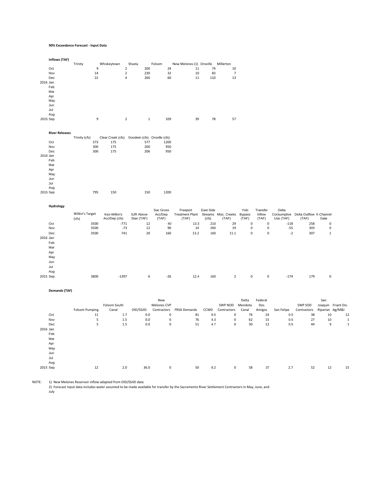#### **90% Exceedence Forecast ‐ Input Data**

**Inflows (TAF)**

|          |                       | Trinity               | Whiskeytown       | Shasta                         | Folsom             | New Melones (1) Oroville                    |           | Millerton      |           |           |            |                                     |                     |
|----------|-----------------------|-----------------------|-------------------|--------------------------------|--------------------|---------------------------------------------|-----------|----------------|-----------|-----------|------------|-------------------------------------|---------------------|
|          | Oct                   | 9                     |                   | $\overline{2}$<br>200          | 24                 | 11                                          | 74        | 10             |           |           |            |                                     |                     |
|          | Nov                   | 14                    |                   | $\mathbf 2$<br>230             | 32                 | 10                                          | 83        | $\overline{7}$ |           |           |            |                                     |                     |
|          | Dec                   | 22                    |                   | 4<br>260                       | 60                 | 11                                          | 110       | 13             |           |           |            |                                     |                     |
| 2016 Jan |                       |                       |                   |                                |                    |                                             |           |                |           |           |            |                                     |                     |
|          | Feb                   |                       |                   |                                |                    |                                             |           |                |           |           |            |                                     |                     |
|          | Mar                   |                       |                   |                                |                    |                                             |           |                |           |           |            |                                     |                     |
|          |                       |                       |                   |                                |                    |                                             |           |                |           |           |            |                                     |                     |
|          | Apr                   |                       |                   |                                |                    |                                             |           |                |           |           |            |                                     |                     |
|          | May                   |                       |                   |                                |                    |                                             |           |                |           |           |            |                                     |                     |
|          | Jun                   |                       |                   |                                |                    |                                             |           |                |           |           |            |                                     |                     |
|          | Jul                   |                       |                   |                                |                    |                                             |           |                |           |           |            |                                     |                     |
|          | Aug                   |                       |                   |                                |                    |                                             |           |                |           |           |            |                                     |                     |
|          | 2015 Sep              | 9                     |                   | $\overline{2}$<br>$\mathbf{1}$ | 109                | 39                                          | 78        | 57             |           |           |            |                                     |                     |
|          |                       |                       |                   |                                |                    |                                             |           |                |           |           |            |                                     |                     |
|          |                       |                       |                   |                                |                    |                                             |           |                |           |           |            |                                     |                     |
|          | <b>River Releases</b> |                       |                   |                                |                    |                                             |           |                |           |           |            |                                     |                     |
|          |                       | Trinity (cfs)         | Clear Creek (cfs) | Goodwin (cfs) Oroville (cfs)   |                    |                                             |           |                |           |           |            |                                     |                     |
|          | Oct                   | 373                   | 175               | 577                            | 1200               |                                             |           |                |           |           |            |                                     |                     |
|          | Nov                   | 300                   | 175               | 200                            | 950                |                                             |           |                |           |           |            |                                     |                     |
|          | Dec                   | 300                   | 175               | 206                            | 950                |                                             |           |                |           |           |            |                                     |                     |
|          | 2016 Jan              |                       |                   |                                |                    |                                             |           |                |           |           |            |                                     |                     |
|          | Feb                   |                       |                   |                                |                    |                                             |           |                |           |           |            |                                     |                     |
|          | Mar                   |                       |                   |                                |                    |                                             |           |                |           |           |            |                                     |                     |
|          | Apr                   |                       |                   |                                |                    |                                             |           |                |           |           |            |                                     |                     |
|          | May                   |                       |                   |                                |                    |                                             |           |                |           |           |            |                                     |                     |
|          | Jun                   |                       |                   |                                |                    |                                             |           |                |           |           |            |                                     |                     |
|          | Jul                   |                       |                   |                                |                    |                                             |           |                |           |           |            |                                     |                     |
|          |                       |                       |                   |                                |                    |                                             |           |                |           |           |            |                                     |                     |
|          | Aug                   |                       |                   |                                |                    |                                             |           |                |           |           |            |                                     |                     |
|          | 2015 Sep              | 795                   | 150               | 150                            | 1200               |                                             |           |                |           |           |            |                                     |                     |
|          |                       |                       |                   |                                |                    |                                             |           |                |           |           |            |                                     |                     |
|          | Hydrology             |                       |                   |                                |                    |                                             |           |                |           |           |            |                                     |                     |
|          |                       |                       |                   |                                | Sac Gross          | Freeport                                    | East Side |                | Yolo      | Transfer  | Delta      |                                     |                     |
|          |                       | Wilkin's Target       | Kes-Wilkin's      | SJR Above                      | Acc/Dep            | Treatment Plant Streams Misc. Creeks Bypass |           |                |           | Inflow    |            | Consumptive Delta Outflow X-Channel |                     |
|          |                       | (cfs)                 | Acc/Dep (cfs)     | Stan (TAF)                     | (TAF)              | (TAF)                                       | (cfs)     | (TAF)          | (TAF)     | (TAF)     | Use (TAF)  | (TAF)                               | Gate                |
|          | Oct                   | 3500                  | $-771$            | 12                             | 40                 | 13.3                                        | 210       | 29             | $\pmb{0}$ | $\pmb{0}$ | $-118$     | 258                                 | $\mathbf 0$         |
|          | Nov                   | 3500                  | $-73$             | 12                             | 90                 | 14                                          | 260       | 19             | 0         | 0         | $-55$      | 303                                 | $\mathbf 0$         |
|          | Dec                   | 3500                  | 741               | 20                             | 160                | 13.2                                        | 160       | 11.1           | 0         | 0         | $-2$       | 307                                 | $\mathbf{1}$        |
| 2016 Jan |                       |                       |                   |                                |                    |                                             |           |                |           |           |            |                                     |                     |
|          | Feb                   |                       |                   |                                |                    |                                             |           |                |           |           |            |                                     |                     |
|          | Mar                   |                       |                   |                                |                    |                                             |           |                |           |           |            |                                     |                     |
|          |                       |                       |                   |                                |                    |                                             |           |                |           |           |            |                                     |                     |
|          | Apr                   |                       |                   |                                |                    |                                             |           |                |           |           |            |                                     |                     |
|          | May                   |                       |                   |                                |                    |                                             |           |                |           |           |            |                                     |                     |
|          | Jun                   |                       |                   |                                |                    |                                             |           |                |           |           |            |                                     |                     |
|          | Jul                   |                       |                   |                                |                    |                                             |           |                |           |           |            |                                     |                     |
|          | Aug                   |                       |                   |                                |                    |                                             |           |                |           |           |            |                                     |                     |
|          | 2015 Sep              | 3800                  | $-1397$           | 6                              | $-26$              | 12.4                                        | 160       | $\mathbf 2$    | $\pmb{0}$ | $\pmb{0}$ | $-174$     | 179                                 | $\mathbf 0$         |
|          |                       |                       |                   |                                |                    |                                             |           |                |           |           |            |                                     |                     |
|          |                       |                       |                   |                                |                    |                                             |           |                |           |           |            |                                     |                     |
|          | <b>Demands (TAF)</b>  |                       |                   |                                |                    |                                             |           |                |           |           |            |                                     |                     |
|          |                       |                       |                   |                                |                    |                                             |           |                |           |           |            |                                     |                     |
|          |                       |                       |                   |                                | New                |                                             |           |                | Delta     | Federal   |            |                                     | San                 |
|          |                       |                       | Folsom South      |                                | <b>Melones CVP</b> |                                             |           | SWP NOD        | Mendota   | Dos       |            | SWP SOD                             | Joaquin Friant Div. |
|          |                       | <b>Folsom Pumping</b> | Canal             | OID/SSJID                      | Contractors        | <b>FRSA Demands</b>                         | CCWD      | Contractors    | Canal     | Amigos    | San Felipe | Contractors                         | Riparian Ag/M&I     |
|          | Oct                   | 11                    | 1.7               | 0.0                            | $\boldsymbol{0}$   | 81                                          | 9.5       | 0              | 76        | 24        | 0.5        | 38                                  | 10<br>12            |
|          | Nov                   | 5                     | 1.5               | 0.0                            | $\pmb{0}$          | 76                                          | 4.3       | 0              | 62        | 15        | 0.5        | 27                                  | 10<br>$\mathbf{1}$  |
|          | Dec                   | 5                     | 1.5               | 0.0                            | $\mathbf 0$        | 51                                          | 4.7       | 0              | 30        | 12        | 0.5        | 44                                  | $\mathbf{1}$<br>9   |

NOTE: 1) New Melones Reservoir inflow adapted from OID/SSJID data

2) Forecast input data includes water assumed to be made available for transfer by the Sacramento River Settlement Contractors in May, June, and

2015 Sep 12 2.0 36.0 0 50 9.2 0 58 37 2.7 52 12 15

July

2016 Jan Feb Mar Apr May Jun Jul Aug<br>2015 Sep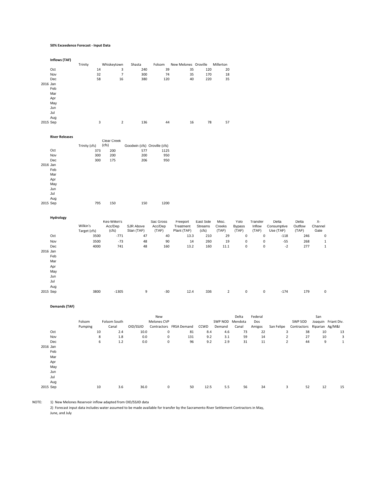#### **50% Exceedence Forecast ‐ Input Data**

|          | Inflows (TAF) |         |    |                |        |        |                      |     |           |
|----------|---------------|---------|----|----------------|--------|--------|----------------------|-----|-----------|
|          |               | Trinity |    | Whiskeytown    | Shasta | Folsom | New Melones Oroville |     | Millerton |
|          | Oct           |         | 14 | 3              | 240    | 39     | 35                   | 120 | 20        |
|          | Nov           |         | 32 | 7              | 300    | 74     | 35                   | 170 | 18        |
|          | Dec           |         | 58 | 16             | 380    | 120    | 40                   | 220 | 35        |
| 2016 Jan |               |         |    |                |        |        |                      |     |           |
|          | Feb           |         |    |                |        |        |                      |     |           |
|          | Mar           |         |    |                |        |        |                      |     |           |
|          | Apr           |         |    |                |        |        |                      |     |           |
|          | May           |         |    |                |        |        |                      |     |           |
|          | Jun           |         |    |                |        |        |                      |     |           |
|          | Jul           |         |    |                |        |        |                      |     |           |
|          | Aug           |         |    |                |        |        |                      |     |           |
| 2015 Sep |               |         | 3  | $\overline{2}$ | 136    | 44     | 16                   | 78  | 57        |
|          |               |         |    |                |        |        |                      |     |           |
|          |               |         |    |                |        |        |                      |     |           |

|          | <b>River Releases</b> |               |             |                              |      |
|----------|-----------------------|---------------|-------------|------------------------------|------|
|          |                       |               | Clear Creek |                              |      |
|          |                       | Trinity (cfs) | (cfs)       | Goodwin (cfs) Oroville (cfs) |      |
|          | Oct                   | 373           | 200         | 577                          | 1125 |
|          | Nov                   | 300           | 200         | 200                          | 950  |
|          | Dec                   | 300           | 175         | 206                          | 950  |
| 2016 Jan |                       |               |             |                              |      |
|          | Feb                   |               |             |                              |      |
|          | Mar                   |               |             |                              |      |
|          | Apr                   |               |             |                              |      |
|          | May                   |               |             |                              |      |
|          | Jun                   |               |             |                              |      |
|          | Jul                   |               |             |                              |      |
|          | Aug                   |               |             |                              |      |
| 2015 Sep |                       | 795           | 150         | 150                          | 1200 |

| Hydrology | Wilkin's<br>Target (cfs) | Kes-Wilkin's<br>Acc/Dep<br>(cfs) | SJR Above<br>Stan (TAF) | Sac Gross<br>Acc/Dep<br>(TAF) | Freeport<br>Treatment<br>Plant (TAF) | East Side<br>Streams<br>(cfs) | Misc.<br>Creeks<br>(TAF) | Yolo<br><b>Bypass</b><br>(TAF) | Transfer<br>Inflow<br>(TAF) | Delta<br>Consumptive<br>Use (TAF) | Delta<br>Outflow<br>(TAF) | х-<br>Channel<br>Gate |
|-----------|--------------------------|----------------------------------|-------------------------|-------------------------------|--------------------------------------|-------------------------------|--------------------------|--------------------------------|-----------------------------|-----------------------------------|---------------------------|-----------------------|
| Oct       | 3500                     | $-771$                           | 47                      | 40                            | 13.3                                 | 210                           | 29                       | 0                              | 0                           | $-118$                            | 246                       | $\mathbf{0}$          |
| Nov       | 3500                     | $-73$                            | 48                      | 90                            | 14                                   | 260                           | 19                       | 0                              | $\mathbf 0$                 | $-55$                             | 268                       |                       |
| Dec       | 4000                     | 741                              | 48                      | 160                           | 13.2                                 | 160                           | 11.1                     | 0                              | 0                           | $-2$                              | 277                       | 1                     |
| 2016 Jan  |                          |                                  |                         |                               |                                      |                               |                          |                                |                             |                                   |                           |                       |
| Feb       |                          |                                  |                         |                               |                                      |                               |                          |                                |                             |                                   |                           |                       |
| Mar       |                          |                                  |                         |                               |                                      |                               |                          |                                |                             |                                   |                           |                       |
| Apr       |                          |                                  |                         |                               |                                      |                               |                          |                                |                             |                                   |                           |                       |
| May       |                          |                                  |                         |                               |                                      |                               |                          |                                |                             |                                   |                           |                       |
| Jun       |                          |                                  |                         |                               |                                      |                               |                          |                                |                             |                                   |                           |                       |
| Jul       |                          |                                  |                         |                               |                                      |                               |                          |                                |                             |                                   |                           |                       |
| Aug       |                          |                                  |                         |                               |                                      |                               |                          |                                |                             |                                   |                           |                       |
| 2015 Sep  | 3800                     | $-1305$                          | 9                       | $-30$                         | 12.4                                 | 336                           | $\overline{2}$           | 0                              | 0                           | $-174$                            | 179                       | $\mathbf 0$           |

#### **Demands (TAF)**

|          |         |    | New          |           |             |                         |      |                 | Delta | Federal | San            |             |                 |                     |
|----------|---------|----|--------------|-----------|-------------|-------------------------|------|-----------------|-------|---------|----------------|-------------|-----------------|---------------------|
|          | Folsom  |    | Folsom South |           | Melones CVP |                         |      | SWP NOD Mendota |       | Dos     |                | SWP SOD     |                 | Joaquin Friant Div. |
|          | Pumping |    | Canal        | OID/SSJID |             | Contractors FRSA Demand | CCWD | Demand          | Canal | Amigos  | San Felipe     | Contractors | Riparian Ag/M&I |                     |
| Oct      |         | 10 | 2.4          | 10.0      | $\mathbf 0$ | 81                      | 8.4  | 4.6             | 73    | 22      | 3              | 38          | 10              | 13                  |
| Nov      |         | 8  | 1.8          | 0.0       | 0           | 131                     | 9.2  | 3.1             | 59    | 14      | $\overline{c}$ | 27          | 10              | 3                   |
| Dec      |         | 6  | $1.2$        | 0.0       | $\mathsf 0$ | 96                      | 9.2  | 2.9             | 31    | 11      | $\overline{c}$ | 44          | 9               |                     |
| 2016 Jan |         |    |              |           |             |                         |      |                 |       |         |                |             |                 |                     |
| Feb      |         |    |              |           |             |                         |      |                 |       |         |                |             |                 |                     |
| Mar      |         |    |              |           |             |                         |      |                 |       |         |                |             |                 |                     |
| Apr      |         |    |              |           |             |                         |      |                 |       |         |                |             |                 |                     |
| May      |         |    |              |           |             |                         |      |                 |       |         |                |             |                 |                     |
| Jun      |         |    |              |           |             |                         |      |                 |       |         |                |             |                 |                     |
| Jul      |         |    |              |           |             |                         |      |                 |       |         |                |             |                 |                     |
| Aug      |         |    |              |           |             |                         |      |                 |       |         |                |             |                 |                     |
| 2015 Sep |         | 10 | 3.6          | 36.0      | $\mathbf 0$ | 50                      | 12.5 | 5.5             | 56    | 34      | 3              | 52          | 12              | 15                  |

NOTE: 1) New Melones Reservoir inflow adapted from OID/SSJID data

2) Forecast input data includes water assumed to be made available for transfer by the Sacramento River Settlement Contractors in May,

June, and July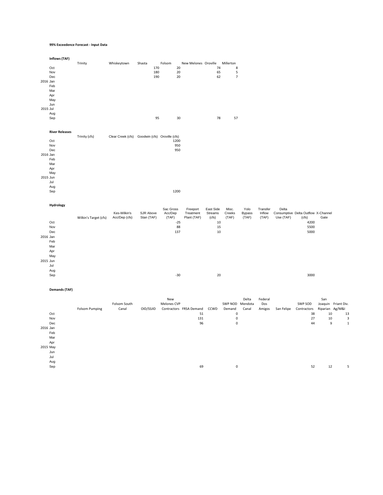#### **99% Exceedence Forecast ‐ Input Data**

|          | Inflows (TAF)         |                       |                                                |                         |                    |                          |                  |                 |                           |                 |                                                  |           |                         |  |
|----------|-----------------------|-----------------------|------------------------------------------------|-------------------------|--------------------|--------------------------|------------------|-----------------|---------------------------|-----------------|--------------------------------------------------|-----------|-------------------------|--|
|          | Oct                   | Trinity               | Whiskeytown                                    | Shasta<br>170           | Folsom<br>20       | New Melones Oroville     | 74               | Millerton<br>8  |                           |                 |                                                  |           |                         |  |
|          | Nov                   |                       |                                                | 180                     | 20                 |                          | 65               | 5               |                           |                 |                                                  |           |                         |  |
| 2016 Jan | Dec                   |                       |                                                | 190                     | 20                 |                          | 62               | $\overline{7}$  |                           |                 |                                                  |           |                         |  |
|          | Feb                   |                       |                                                |                         |                    |                          |                  |                 |                           |                 |                                                  |           |                         |  |
|          | Mar                   |                       |                                                |                         |                    |                          |                  |                 |                           |                 |                                                  |           |                         |  |
|          | Apr                   |                       |                                                |                         |                    |                          |                  |                 |                           |                 |                                                  |           |                         |  |
|          | May<br>Jun            |                       |                                                |                         |                    |                          |                  |                 |                           |                 |                                                  |           |                         |  |
| 2015 Jul |                       |                       |                                                |                         |                    |                          |                  |                 |                           |                 |                                                  |           |                         |  |
|          | Aug                   |                       |                                                |                         |                    |                          |                  |                 |                           |                 |                                                  |           |                         |  |
|          | Sep                   |                       |                                                | 95                      | 30                 |                          | 78               | 57              |                           |                 |                                                  |           |                         |  |
|          | <b>River Releases</b> |                       |                                                |                         |                    |                          |                  |                 |                           |                 |                                                  |           |                         |  |
|          |                       | Trinity (cfs)         | Clear Creek (cfs) Goodwin (cfs) Oroville (cfs) |                         |                    |                          |                  |                 |                           |                 |                                                  |           |                         |  |
|          | Oct<br>Nov            |                       |                                                |                         | 1200<br>950        |                          |                  |                 |                           |                 |                                                  |           |                         |  |
|          | Dec                   |                       |                                                |                         | 950                |                          |                  |                 |                           |                 |                                                  |           |                         |  |
| 2016 Jan |                       |                       |                                                |                         |                    |                          |                  |                 |                           |                 |                                                  |           |                         |  |
|          | Feb<br>Mar            |                       |                                                |                         |                    |                          |                  |                 |                           |                 |                                                  |           |                         |  |
|          | Apr                   |                       |                                                |                         |                    |                          |                  |                 |                           |                 |                                                  |           |                         |  |
|          | May                   |                       |                                                |                         |                    |                          |                  |                 |                           |                 |                                                  |           |                         |  |
| 2015 Jun |                       |                       |                                                |                         |                    |                          |                  |                 |                           |                 |                                                  |           |                         |  |
|          | Jul<br>Aug            |                       |                                                |                         |                    |                          |                  |                 |                           |                 |                                                  |           |                         |  |
|          | Sep                   |                       |                                                |                         | 1200               |                          |                  |                 |                           |                 |                                                  |           |                         |  |
|          | Hydrology             |                       |                                                |                         |                    |                          |                  |                 |                           |                 |                                                  |           |                         |  |
|          |                       |                       |                                                |                         | Sac Gross          | Freeport                 | East Side        | Misc.           | Yolo                      | Transfer        | Delta                                            |           |                         |  |
|          |                       | Wilkin's Target (cfs) | Kes-Wilkin's<br>Acc/Dep (cfs)                  | SJR Above<br>Stan (TAF) | Acc/Dep<br>(TAF)   | Treatment<br>Plant (TAF) | Streams<br>(cfs) | Creeks<br>(TAF) | <b>Bypass</b><br>(TAF)    | Inflow<br>(TAF) | Consumptive Delta Outflow X-Channel<br>Use (TAF) | (cfs)     | Gate                    |  |
|          | Oct                   |                       |                                                |                         | $-25$              |                          | 10               |                 |                           |                 |                                                  | 4200      |                         |  |
|          | Nov                   |                       |                                                |                         | 88                 |                          | 15               |                 |                           |                 |                                                  | 5500      |                         |  |
|          | Dec                   |                       |                                                |                         | 137                |                          | 10               |                 |                           |                 |                                                  | 5000      |                         |  |
| 2016 Jan | Feb                   |                       |                                                |                         |                    |                          |                  |                 |                           |                 |                                                  |           |                         |  |
|          | Mar                   |                       |                                                |                         |                    |                          |                  |                 |                           |                 |                                                  |           |                         |  |
|          | Apr                   |                       |                                                |                         |                    |                          |                  |                 |                           |                 |                                                  |           |                         |  |
|          | May                   |                       |                                                |                         |                    |                          |                  |                 |                           |                 |                                                  |           |                         |  |
| 2015 Jun |                       |                       |                                                |                         |                    |                          |                  |                 |                           |                 |                                                  |           |                         |  |
|          | Jul<br>Aug            |                       |                                                |                         |                    |                          |                  |                 |                           |                 |                                                  |           |                         |  |
|          | Sep                   |                       |                                                |                         | $-30$              |                          | 20               |                 |                           |                 |                                                  | 3000      |                         |  |
|          |                       |                       |                                                |                         |                    |                          |                  |                 |                           |                 |                                                  |           |                         |  |
|          | <b>Demands (TAF)</b>  |                       |                                                |                         |                    |                          |                  |                 |                           |                 |                                                  |           |                         |  |
|          |                       |                       | <b>Eolcom South</b>                            |                         | New<br>Melones CVD |                          |                  |                 | Delta<br>CIMP NOD Mendota | Federal<br>Doc  |                                                  | CIAID COD | San<br>Joaquin Friant D |  |

|          |                       | Folsom South |           | <b>Melones CVP</b> |                         |      | SWP NOD Mendota |       | Dos    |            | SWP SOD     |                 | Joaquin Friant Div. |
|----------|-----------------------|--------------|-----------|--------------------|-------------------------|------|-----------------|-------|--------|------------|-------------|-----------------|---------------------|
|          | <b>Folsom Pumping</b> | Canal        | OID/SSJID |                    | Contractors FRSA Demand | CCWD | Demand          | Canal | Amigos | San Felipe | Contractors | Riparian Ag/M&I |                     |
| Oct      |                       |              |           |                    | 51                      |      | 0               |       |        |            | 38          | 10              | 13                  |
| Nov      |                       |              |           |                    | 131                     |      | 0               |       |        |            | 27          | 10              | 3                   |
| Dec      |                       |              |           |                    | 96                      |      | 0               |       |        |            | 44          | 9               |                     |
| 2016 Jan |                       |              |           |                    |                         |      |                 |       |        |            |             |                 |                     |
| Feb      |                       |              |           |                    |                         |      |                 |       |        |            |             |                 |                     |
| Mar      |                       |              |           |                    |                         |      |                 |       |        |            |             |                 |                     |
| Apr      |                       |              |           |                    |                         |      |                 |       |        |            |             |                 |                     |
| 2015 May |                       |              |           |                    |                         |      |                 |       |        |            |             |                 |                     |
| Jun      |                       |              |           |                    |                         |      |                 |       |        |            |             |                 |                     |
| Jul      |                       |              |           |                    |                         |      |                 |       |        |            |             |                 |                     |
| Aug      |                       |              |           |                    |                         |      |                 |       |        |            |             |                 |                     |
| Sep      |                       |              |           |                    | 69                      |      | 0               |       |        |            | 52          | 12              |                     |
|          |                       |              |           |                    |                         |      |                 |       |        |            |             |                 |                     |
|          |                       |              |           |                    |                         |      |                 |       |        |            |             |                 |                     |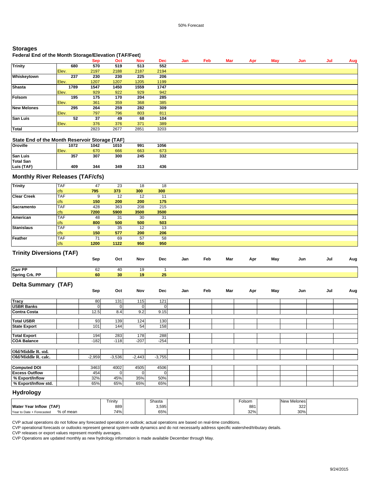## **Storages**

# **Federal End of the Month Storage/Elevation (TAF/Feet)**

|                    |       | Sep  | Oct  | <b>Nov</b> | <b>Dec</b> | Jan | Feb | Mar | Apr | May | Jun | Jul | Aug |
|--------------------|-------|------|------|------------|------------|-----|-----|-----|-----|-----|-----|-----|-----|
| <b>Trinity</b>     | 680   | 570  | 519  | 513        | 552        |     |     |     |     |     |     |     |     |
|                    | Elev. | 2197 | 2188 | 2187       | 2194       |     |     |     |     |     |     |     |     |
| Whiskeytown        | 237   | 230  | 230  | 225        | 206        |     |     |     |     |     |     |     |     |
|                    | Elev. | 1207 | 1207 | 1205       | 1199       |     |     |     |     |     |     |     |     |
| <b>Shasta</b>      | 1789  | 1547 | 1450 | 1559       | 1747       |     |     |     |     |     |     |     |     |
|                    | Elev. | 929  | 922  | 929        | 942        |     |     |     |     |     |     |     |     |
| Folsom             | 195   | 175  | 170  | 204        | 285        |     |     |     |     |     |     |     |     |
|                    | Elev. | 361  | 359  | 368        | 385        |     |     |     |     |     |     |     |     |
| <b>New Melones</b> | 295   | 264  | 259  | 282        | 309        |     |     |     |     |     |     |     |     |
|                    | Elev. | 797  | 796  | 803        | 811        |     |     |     |     |     |     |     |     |
| <b>San Luis</b>    | 52    | 37   | 49   | 68         | 104        |     |     |     |     |     |     |     |     |
|                    | Elev. | 376  | 376  | 371        | 389        |     |     |     |     |     |     |     |     |
| <b>Total</b>       |       | 2823 | 2677 | 2851       | 3203       |     |     |     |     |     |     |     |     |

#### **State End of the Month Reservoir Storage (TAF)**

**Spring Crk. PP 60 30 19 25**

| Oroville         | 1072  | 1042 | 1010 | 991 | 1056 |
|------------------|-------|------|------|-----|------|
|                  | Elev. | 670  | 666  | 663 | 673  |
| <b>San Luis</b>  | 357   | 307  | 300  | 245 | 332  |
| <b>Total San</b> |       |      |      |     |      |
| Luis (TAF)       | 409   | 344  | 349  | 313 | 436  |

### **Monthly River Releases (TAF/cfs)**

| <b>Trinity</b>     | <b>TAF</b> | 47   | 23   | 18   | 18   |  |
|--------------------|------------|------|------|------|------|--|
|                    | <b>cfs</b> | 795  | 373  | 300  | 300  |  |
| <b>Clear Creek</b> | <b>TAF</b> | 9    | 12   | 12   |      |  |
|                    | <b>cfs</b> | 150  | 200  | 200  | 175  |  |
| <b>Sacramento</b>  | <b>TAF</b> | 428  | 363  | 208  | 215  |  |
|                    | <b>cfs</b> | 7200 | 5900 | 3500 | 3500 |  |
| American           | <b>TAF</b> | 48   | 31   | 30   | 31   |  |
|                    | <b>cfs</b> | 800  | 500  | 500  | 503  |  |
| <b>Stanislaus</b>  | <b>TAF</b> | 9    | 35   | 12   | 13   |  |
|                    | <b>cfs</b> | 150  | 577  | 200  | 206  |  |
| <b>Feather</b>     | <b>TAF</b> | 71   | 69   | 57   | 58   |  |
|                    | <b>cfs</b> | 1200 | 1122 | 950  | 950  |  |

#### **Trinity Diversions (TAF)**

|         | Sep | Oct | Nov | Dec | Jan | Feb | Mar | Apr | May | Jun | Jul | Aug |
|---------|-----|-----|-----|-----|-----|-----|-----|-----|-----|-----|-----|-----|
| Carr PP | 62  | 40  | 19  |     |     |     |     |     |     |     |     |     |

### **Delta Summary (TAF)**

|                       | Sep      | Oct      | Nov          | <b>Dec</b>   | Jan | Feb | Mar | Apr | May | Jun | Jul | Aug |
|-----------------------|----------|----------|--------------|--------------|-----|-----|-----|-----|-----|-----|-----|-----|
| <b>Tracy</b>          |          |          |              |              |     |     |     |     |     |     |     |     |
|                       | 80       | 131      | 115          | 121          |     |     |     |     |     |     |     |     |
| <b>USBR Banks</b>     | $\Omega$ |          | $\mathbf{0}$ | $\mathbf{0}$ |     |     |     |     |     |     |     |     |
| <b>Contra Costa</b>   | 12.5     | 8.4      | 9.2          | 9.15         |     |     |     |     |     |     |     |     |
|                       |          |          |              |              |     |     |     |     |     |     |     |     |
| <b>Total USBR</b>     | 93       | 139      | 124          | 130          |     |     |     |     |     |     |     |     |
| <b>State Export</b>   | 101      | 144      | 54           | 158          |     |     |     |     |     |     |     |     |
|                       |          |          |              |              |     |     |     |     |     |     |     |     |
| <b>Total Export</b>   | 194      | 283      | 178          | 288          |     |     |     |     |     |     |     |     |
| <b>COA Balance</b>    | $-182$   | $-118$   | $-207$       | $-254$       |     |     |     |     |     |     |     |     |
|                       |          |          |              |              |     |     |     |     |     |     |     |     |
| Old/Middle R. std.    |          |          |              |              |     |     |     |     |     |     |     |     |
| Old/Middle R. calc.   | $-2,959$ | $-3,536$ | $-2,443$     | $-3,755$     |     |     |     |     |     |     |     |     |
|                       |          |          |              |              |     |     |     |     |     |     |     |     |
| <b>Computed DOI</b>   | 3463     | 4002     | 4505         | 4506         |     |     |     |     |     |     |     |     |
| <b>Excess Outflow</b> | 454      |          | 0            | 0            |     |     |     |     |     |     |     |     |
| % Export/Inflow       | 32%      | 45%      | 35%          | 50%          |     |     |     |     |     |     |     |     |
| % Export/Inflow std.  | 65%      | 65%      | 65%          | 65%          |     |     |     |     |     |     |     |     |

### **Hydrology**

|                                        | Trinity | Shasta | Folsom | New Melones |  |
|----------------------------------------|---------|--------|--------|-------------|--|
| Water<br>(TAF)<br><b>∵Year Inflow</b>  | 889     | 3,595  | 881    | 322         |  |
| % of mean<br>Year to Date + Forecasted | 74%     | 65%    | 32%    | 30%         |  |

CVP actual operations do not follow any forecasted operation or outlook; actual operations are based on real-time conditions.

CVP operational forecasts or outlooks represent general system-wide dynamics and do not necessarily address specific watershed/tributary details.

CVP releases or export values represent monthly averages.

CVP Operations are updated monthly as new hydrology information is made available December through May.

 $\mathcal{L}$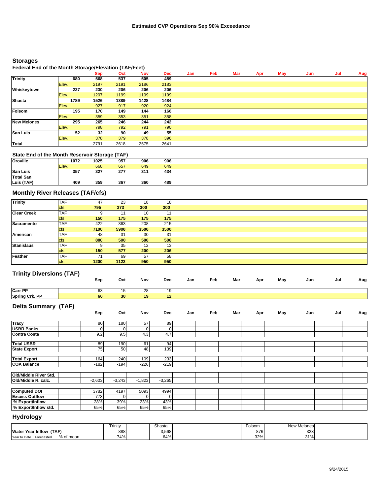# **Storages**

# **Federal End of the Month Storage/Elevation (TAF/Feet)**

|                    |       | -    |      |            |            |     |     |     |     |     |     |     |     |
|--------------------|-------|------|------|------------|------------|-----|-----|-----|-----|-----|-----|-----|-----|
|                    |       | Sep  | Oct  | <b>Nov</b> | <b>Dec</b> | Jan | Feb | Mar | Apr | May | Jun | Jul | Aug |
| <b>Trinity</b>     | 680   | 568  | 537  | 505        | 489        |     |     |     |     |     |     |     |     |
|                    | Elev. | 2197 | 2191 | 2186       | 2183       |     |     |     |     |     |     |     |     |
| Whiskeytown        | 237   | 230  | 206  | 206        | 206        |     |     |     |     |     |     |     |     |
|                    | Elev. | 1207 | 1199 | 1199       | 1199       |     |     |     |     |     |     |     |     |
| <b>Shasta</b>      | 1789  | 1526 | 1389 | 1428       | 1484       |     |     |     |     |     |     |     |     |
|                    | Elev. | 927  | 917  | 920        | 924        |     |     |     |     |     |     |     |     |
| Folsom             | 195   | 170  | 149  | 144        | 166        |     |     |     |     |     |     |     |     |
|                    | Elev. | 359  | 353  | 351        | 358        |     |     |     |     |     |     |     |     |
| <b>New Melones</b> | 295   | 265  | 246  | 244        | 242        |     |     |     |     |     |     |     |     |
|                    | Elev. | 798  | 792  | 791        | 790        |     |     |     |     |     |     |     |     |
| <b>San Luis</b>    | 52    | 32   | 90   | 49         | 55         |     |     |     |     |     |     |     |     |
|                    | Elev. | 378  | 379  | 378        | 396        |     |     |     |     |     |     |     |     |
| Total              |       | 2791 | 2618 | 2575       | 2641       |     |     |     |     |     |     |     |     |

# **State End of the Month Reservoir Storage (TAF)**

| <b>Oroville</b>  | 1072  | 1025 | 957 | 906 | 906 |  |
|------------------|-------|------|-----|-----|-----|--|
|                  | Elev. | 668  | 657 | 649 | 649 |  |
| <b>San Luis</b>  | 357   | 327  | 277 | 311 | 434 |  |
| <b>Total San</b> |       |      |     |     |     |  |
| Luis (TAF)       | 409   | 359  | 367 | 360 | 489 |  |

# **Monthly River Releases (TAF/cfs)**

| <b>Trinity</b>     | <b>TAF</b> | 47   | 23   | 18   |      |
|--------------------|------------|------|------|------|------|
|                    |            |      |      |      | 18   |
|                    | <b>cfs</b> | 795  | 373  | 300  | 300  |
| <b>Clear Creek</b> | <b>TAF</b> | 9    | -11  | 10   | 11   |
|                    | <b>cfs</b> | 150  | 175  | 175  | 175  |
| Sacramento         | <b>TAF</b> | 422  | 363  | 208  | 215  |
|                    | <b>cfs</b> | 7100 | 5900 | 3500 | 3500 |
| American           | <b>TAF</b> | 48   | 31   | 30   | -31  |
|                    | <b>cfs</b> | 800  | 500  | 500  | 500  |
| <b>Stanislaus</b>  | <b>TAF</b> | 9    | 35   | 12   | 13   |
|                    | <b>cfs</b> | 150  | 577  | 200  | 206  |
| Feather            | <b>TAF</b> |      | 69   | 57   | 58   |
|                    | <b>cfs</b> | 1200 | 1122 | 950  | 950  |

# **Trinity Diversions (TAF)**

|                       | Sep | Oct | Nov | Dec | Jan | Feb | Mar | Apr | May | Jun | Jul | Aug |
|-----------------------|-----|-----|-----|-----|-----|-----|-----|-----|-----|-----|-----|-----|
| <b>Carr PP</b>        | 63  | ن ا | 28  | 19  |     |     |     |     |     |     |     |     |
| <b>Spring Crk. PP</b> | 60  | 30  | 19  |     |     |     |     |     |     |     |     |     |

# **Delta Summary (TAF)**

| . .                   | Sep      | Oct      | Nov      | Dec      | Jan | Feb | Mar | Apr | May | Jun | Jul | Aug |
|-----------------------|----------|----------|----------|----------|-----|-----|-----|-----|-----|-----|-----|-----|
| <b>Tracy</b>          | 80       | 180      | 57       | 89       |     |     |     |     |     |     |     |     |
| <b>USBR Banks</b>     | 0        |          | 0        |          |     |     |     |     |     |     |     |     |
| <b>Contra Costa</b>   | 9.2      | 9.5      | 4.3      | 4.7      |     |     |     |     |     |     |     |     |
| <b>Total USBR</b>     | 89       | 190      | 61       | 94       |     |     |     |     |     |     |     |     |
| <b>State Export</b>   | 75       | 50       | 48       | 139      |     |     |     |     |     |     |     |     |
| <b>Total Export</b>   | 164      | 240      | 109      | 233      |     |     |     |     |     |     |     |     |
| <b>COA Balance</b>    | $-182$   | $-194$   | $-226$   | $-219$   |     |     |     |     |     |     |     |     |
|                       |          |          |          |          |     |     |     |     |     |     |     |     |
| Old/Middle River Std. |          |          |          |          |     |     |     |     |     |     |     |     |
| Old/Middle R. calc.   | $-2,603$ | $-3,243$ | $-1,823$ | $-3,265$ |     |     |     |     |     |     |     |     |
|                       |          |          |          |          |     |     |     |     |     |     |     |     |
| <b>Computed DOI</b>   | 3782     | 4197     | 5093     | 4994     |     |     |     |     |     |     |     |     |
| <b>Excess Outflow</b> | 773      | $\Omega$ | 0        |          |     |     |     |     |     |     |     |     |
| % Export/Inflow       | 28%      | 39%      | 23%      | 43%      |     |     |     |     |     |     |     |     |
| % Export/Inflow std.  | 65%      | 65%      | 65%      | 65%      |     |     |     |     |     |     |     |     |

# **Hydrology**

|                                        | Trinity | Shasta | olsom | New Melones |  |
|----------------------------------------|---------|--------|-------|-------------|--|
| (TAF)<br><b>Water Year Inflow</b>      | 888     | 3,568  | 876   | 323         |  |
| % of mean<br>Year to Date + Forecasted | 74%     | 64%    | 32%   | 31%         |  |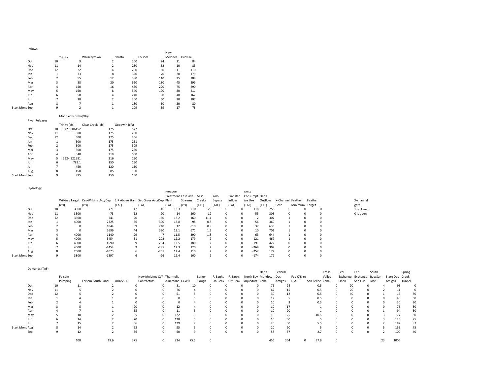| Inflows        |         |             |                         |        |     |         |          |
|----------------|---------|-------------|-------------------------|--------|-----|---------|----------|
|                |         |             |                         |        | New |         |          |
|                | Trinity | Whiskeytown | Shasta                  | Folsom |     | Melones | Oroville |
| Oct            | 10      | 9           | $\overline{2}$          | 200    | 24  | 11      | 84       |
| Nov            | 11      | 14          | $\overline{\mathbf{z}}$ | 230    | 32  | 10      | 83       |
| <b>Dec</b>     | 12      | 22          | 4                       | 260    | 60  | 11      | 110      |
| Jan            | 1       | 33          | 8                       | 320    | 70  | 20      | 179      |
| Feb            | 2       | 55          | 12                      | 380    | 110 | 25      | 208      |
| Mar            | 3       | 88          | 20                      | 520    | 180 | 45      | 299      |
| Apr            | 4       | 140         | 16                      | 450    | 220 | 75      | 290      |
| May            | 5       | 150         | 8                       | 340    | 190 | 80      | 211      |
| Jun            | 6       | 58          | 4                       | 240    | 90  | 40      | 162      |
| Jul            | 7       | 18          | $\overline{\mathbf{z}}$ | 200    | 60  | 30      | 107      |
| Aug            | 8       | 7           | 1                       | 180    | 60  | 30      | 80       |
| Start Mont Sep | 9       | 2           | $\overline{1}$          | 109    | 39  | 17      | 78       |

#### Modified Normal/Dry

| <b>River Releases</b> |                |               |                   |               |     |
|-----------------------|----------------|---------------|-------------------|---------------|-----|
|                       |                | Trinity (cfs) | Clear Creek (cfs) | Goodwin (cfs) |     |
| Oct                   | 10             | 372.5806452   |                   | 175           | 577 |
| Nov                   | 11             | 300           |                   | 175           | 200 |
| <b>Dec</b>            | 12             | 300           |                   | 175           | 206 |
| Jan                   | 1              | 300           |                   | 175           | 261 |
| Feb                   | $\overline{2}$ | 300           |                   | 175           | 309 |
| Mar                   | 3              | 300           |                   | 175           | 280 |
| Apr                   | 4              | 540           |                   | 218           | 500 |
| May                   | 5              | 2924.322581   |                   | 216           | 150 |
| Jun                   | 6              | 783.1         |                   | 150           | 150 |
| Jul                   | 7              | 450           |                   | 120           | 150 |
| Aug                   | 8              | 450           |                   | 85            | 150 |
| <b>Start Mont Sep</b> | 9              | 795           |                   | 150           | 150 |

Hydrology

|                |       |      |                                                                             |       |       |        | Freeport |                           |        |               |              | Delta    |                |         |      |                   |                |            |             |
|----------------|-------|------|-----------------------------------------------------------------------------|-------|-------|--------|----------|---------------------------|--------|---------------|--------------|----------|----------------|---------|------|-------------------|----------------|------------|-------------|
|                |       |      |                                                                             |       |       |        |          | Treatment East Side Misc. |        | Yolo          | Transfer     |          | Consumpt Delta |         |      |                   |                |            |             |
|                |       |      | Wilkin's Target Kes-Wilkin's Acc/Dep SJR Above Stan Sac Gross Acc/Dep Plant |       |       |        |          | Streams                   | Creeks | <b>Bypass</b> | Inflow       | ive Use  |                | Outflow |      | X-Channel Feather | Feather        |            | X-channel   |
|                | (cfs) |      | (cfs)                                                                       | (TAF) | (TAF) |        | (TAF)    | (cfs)                     | (TAF)  | (TAF)         | (TAF)        | (TAF)    |                | (TAF)   | Gate |                   | Minimum Target |            | gate        |
| Oct            | 10    | 3500 | $-771$                                                                      | 12    |       | 40     | 13.3     | 210                       |        | 29            | 0            | 0.       | $-118$         | 258     |      |                   | 0              | $^{\circ}$ | 1 is closed |
| Nov            | 11    | 3500 | $-73$                                                                       | 12    |       | 90     | 14       | 260                       |        | 19            | 0            |          | $-55$          | 303     |      |                   | 0              | $\Omega$   | 0 is open   |
| Dec            | 12    | 3500 | 741                                                                         | 20    |       | 160    | 13.2     | 160                       |        | 11.1          | $^{\circ}$   |          | $-2$           | 307     |      |                   | 0              |            |             |
| Jan            |       | 4000 | 2325                                                                        | 36    |       | 300    | 13.8     | 98                        |        | 0.8           | $\mathbf{0}$ | $^{(1)}$ | 56             | 369     |      |                   | $\Omega$       | $\Omega$   |             |
| Feb            |       |      | 1844                                                                        | 39    |       | 240    | 12       | 810                       |        | 0.9           | 0            |          | 37             | 633     |      |                   | 0              | $\Omega$   |             |
| Mar            |       |      | 2696                                                                        | 44    |       | 320    | 12.1     | 671                       |        | 1.2           | $^{\circ}$   |          | 10             | 701     |      |                   | 0              |            |             |
| Apr            |       | 4000 | $-1140$                                                                     | 29    |       | $-7$   | 11.5     | 390                       |        | 1.8           | 0            | 0        | $-63$          | 644     |      |                   | $\Omega$       | 0          |             |
| May            |       | 4000 | $-3454$                                                                     | 31    |       | $-202$ | 12.2     | 179                       |        |               | $\Omega$     |          | $-121$         | 467     |      |                   | $\Omega$       | $\Omega$   |             |
| Jun            |       | 4000 | $-4590$                                                                     |       |       | $-284$ | 12.5     | 180                       |        |               | 0            |          | $-191$         | 422     |      |                   | $\Omega$       |            |             |
| Jul            |       | 4000 | $-4454$                                                                     |       |       | $-285$ | 12.3     | 120                       |        |               | 0            |          | $-268$         | 307     |      |                   | 0              | $\Omega$   |             |
| Aug            |       | 2000 | $-4073$                                                                     |       |       | $-251$ | 12.4     | 110                       |        |               | $\Omega$     | n        | $-252$         | 172     |      |                   | $\Omega$       | $\Omega$   |             |
| Start Mont Sep |       | 3800 | $-1397$                                                                     |       |       | $-26$  | 12.4     | 160                       |        |               | 0            |          | $-174$         | 179     |      |                   | 0              | 0          |             |

#### Demands (TAF)

|                       |         |                    |           |                           |               |        |                                         |          | Delta | Federal |            | Cross            | Fed          | Fed                       | South |                 | Spring |    |
|-----------------------|---------|--------------------|-----------|---------------------------|---------------|--------|-----------------------------------------|----------|-------|---------|------------|------------------|--------------|---------------------------|-------|-----------------|--------|----|
|                       | Folsom  |                    |           | New Melones CVP Thermolit |               | Barker | F. Banks F. Banks North Bay Mendota Dos |          |       |         | Fed O'N to | Valley           |              | Exchange Exchange Bay/San |       | State Dos Creek |        |    |
|                       | Pumping | Folsom South Canal | OID/SSJID | Contractors               | o Demand CCWD | Slough | On-Peak Off-Peak Aqueduct Canal         |          |       | Amigos  | D.A.       | San Felipe Canal | Oneil        | San Luis                  | Jose  | Amigos          | Tunnel |    |
| Oct                   | 10      | 11                 |           |                           | 81            |        |                                         |          |       | 76      | 24         | 0.5              |              | 20                        |       |                 |        |    |
| Nov                   | 11      |                    |           |                           | 76            |        |                                         |          |       | 62      | 15         | 0.5              |              | 20                        |       |                 | 11     |    |
| Dec                   | 12      |                    |           |                           |               |        |                                         |          |       | 30      |            | 0.5              | $^{\circ}$   | 40                        |       |                 | 15     |    |
| Jan                   |         |                    |           |                           |               |        |                                         |          |       | 12      |            | 0.5              | <sup>n</sup> |                           |       |                 |        |    |
| Feb                   |         |                    |           |                           |               |        |                                         |          |       | 10      |            | 0.5              |              |                           |       |                 |        | 30 |
| Mar                   |         |                    |           |                           |               |        |                                         |          |       | 10      |            |                  |              |                           |       |                 |        | 30 |
| Apr                   |         |                    |           |                           |               |        |                                         |          |       | 10      | 20         |                  |              |                           |       |                 |        |    |
| May                   |         | 10                 |           | 65                        | 122           |        |                                         |          |       | 10      | 25         | 10.5             |              |                           |       | 77              |        | 30 |
| Jun                   |         | 14                 |           |                           | 128           |        |                                         |          |       | 10      | 30         |                  |              |                           |       | 125             |        | 75 |
| Jul                   |         | 15                 |           | 66                        | 129           |        |                                         |          |       | 20      | 30         | 5.5              |              |                           |       | 182             |        | 87 |
| <b>Start Mont Aug</b> |         | 14                 |           | 63                        | 95            |        |                                         |          |       | 20      | 20         |                  |              |                           |       | 155             |        | 75 |
| Sep                   |         | 12                 |           | 36                        | 50            |        |                                         | $\Omega$ | 0     | 58      | 37         | 2.7              | $\Omega$     |                           |       | 100             |        | 40 |
|                       |         | 108                | 19.6      | 375                       | 824           | 75.5   |                                         |          | 456   | 364     |            | 37.9             |              |                           | 23    | 1006            |        |    |